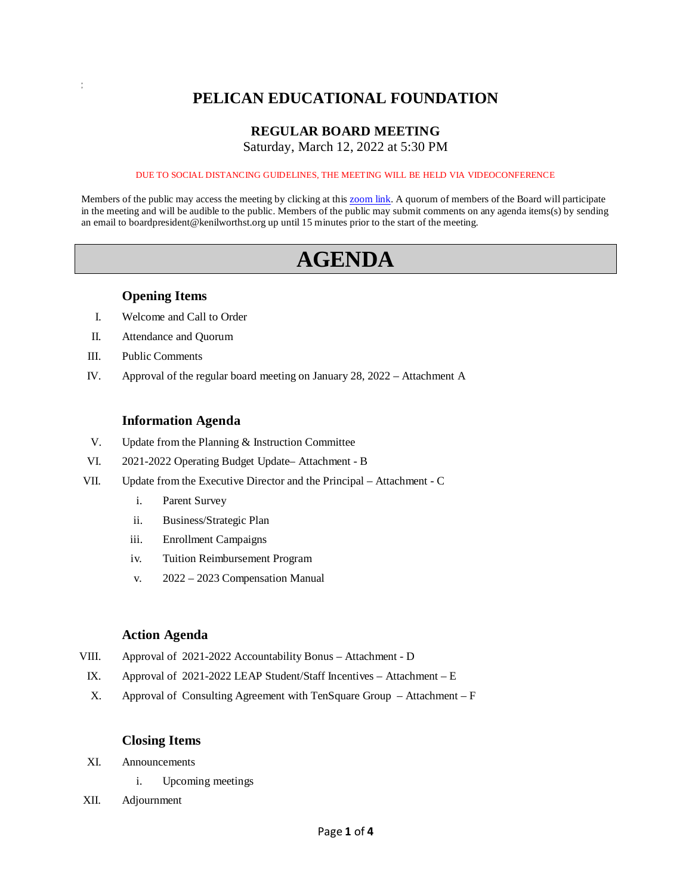# **PELICAN EDUCATIONAL FOUNDATION**

# **REGULAR BOARD MEETING**

Saturday, March 12, 2022 at 5:30 PM

#### DUE TO SOCIAL DISTANCING GUIDELINES, THE MEETING WILL BE HELD VIA VIDEOCONFERENCE

Members of the public may access the meeting by clicking at this [zoom link.](https://kenilworthst-org.zoom.us/j/88168415550?pwd=RHh5ZVFnT3d1aU1RRHg5MElBSEJMQT09) A quorum of members of the Board will participate in the meeting and will be audible to the public. Members of the public may submit comments on any agenda items(s) by sending an email to boardpresident@kenilworthst.org up until 15 minutes prior to the start of the meeting.

# **AGENDA**

#### **Opening Items**

- I. Welcome and Call to Order
- II. Attendance and Quorum
- III. Public Comments

a a

IV. Approval of the regular board meeting on January 28, 2022 – Attachment A

#### **Information Agenda**

- V. Update from the Planning & Instruction Committee
- VI. 2021-2022 Operating Budget Update– Attachment B
- VII. Update from the Executive Director and the Principal Attachment C
	- i. Parent Survey
	- ii. Business/Strategic Plan
	- iii. Enrollment Campaigns
	- iv. Tuition Reimbursement Program
	- v. 2022 2023 Compensation Manual

#### **Action Agenda**

- VIII. Approval of 2021-2022 Accountability Bonus Attachment D
	- IX. Approval of 2021-2022 LEAP Student/Staff Incentives Attachment E
	- X. Approval of Consulting Agreement with TenSquare Group Attachment F

### **Closing Items**

- XI. Announcements
	- i. Upcoming meetings
- XII. Adjournment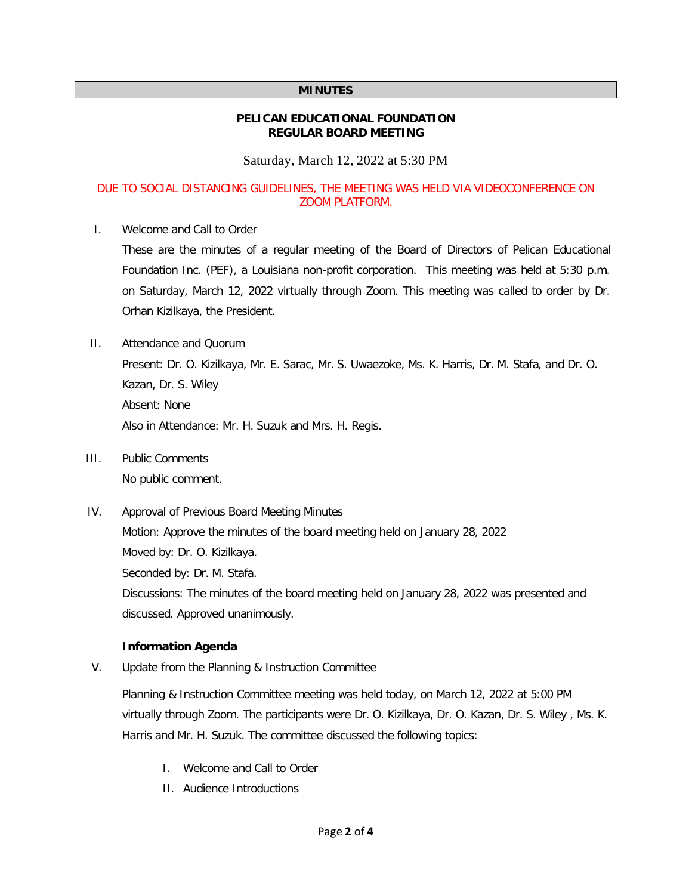#### **MINUTES**

#### **PELICAN EDUCATIONAL FOUNDATION REGULAR BOARD MEETING**

Saturday, March 12, 2022 at 5:30 PM

### DUE TO SOCIAL DISTANCING GUIDELINES, THE MEETING WAS HELD VIA VIDEOCONFERENCE ON ZOOM PLATFORM.

I. Welcome and Call to Order

These are the minutes of a regular meeting of the Board of Directors of Pelican Educational Foundation Inc. (PEF), a Louisiana non-profit corporation. This meeting was held at 5:30 p.m. on Saturday, March 12, 2022 virtually through Zoom. This meeting was called to order by Dr. Orhan Kizilkaya, the President.

II. Attendance and Quorum

Present: Dr. O. Kizilkaya, Mr. E. Sarac, Mr. S. Uwaezoke, Ms. K. Harris, Dr. M. Stafa, and Dr. O. Kazan, Dr. S. Wiley Absent: None Also in Attendance: Mr. H. Suzuk and Mrs. H. Regis.

- III. Public Comments No public comment.
- IV. Approval of Previous Board Meeting Minutes Motion: Approve the minutes of the board meeting held on January 28, 2022 Moved by: Dr. O. Kizilkaya. Seconded by: Dr. M. Stafa. Discussions: The minutes of the board meeting held on January 28, 2022 was presented and discussed. Approved unanimously.

### **Information Agenda**

V. Update from the Planning & Instruction Committee

Planning & Instruction Committee meeting was held today, on March 12, 2022 at 5:00 PM virtually through Zoom. The participants were Dr. O. Kizilkaya, Dr. O. Kazan, Dr. S. Wiley , Ms. K. Harris and Mr. H. Suzuk. The committee discussed the following topics:

- I. Welcome and Call to Order
- II. Audience Introductions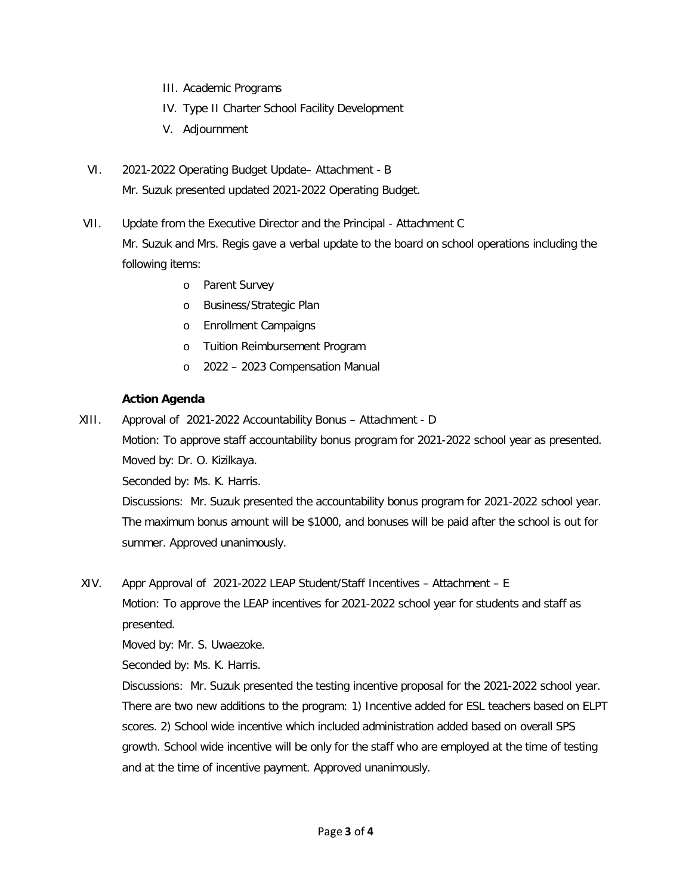- III. Academic Programs
- IV. Type II Charter School Facility Development
- V. Adjournment
- VI. 2021-2022 Operating Budget Update– Attachment B Mr. Suzuk presented updated 2021-2022 Operating Budget.
- VII. Update from the Executive Director and the Principal Attachment C Mr. Suzuk and Mrs. Regis gave a verbal update to the board on school operations including the following items:
	- o Parent Survey
	- o Business/Strategic Plan
	- o Enrollment Campaigns
	- o Tuition Reimbursement Program
	- o 2022 2023 Compensation Manual

### **Action Agenda**

XIII. Approval of 2021-2022 Accountability Bonus – Attachment - D Motion: To approve staff accountability bonus program for 2021-2022 school year as presented. Moved by: Dr. O. Kizilkaya.

Seconded by: Ms. K. Harris.

Discussions: Mr. Suzuk presented the accountability bonus program for 2021-2022 school year. The maximum bonus amount will be \$1000, and bonuses will be paid after the school is out for summer. Approved unanimously.

XIV. Appr Approval of 2021-2022 LEAP Student/Staff Incentives – Attachment – E

Motion: To approve the LEAP incentives for 2021-2022 school year for students and staff as presented.

Moved by: Mr. S. Uwaezoke.

Seconded by: Ms. K. Harris.

Discussions: Mr. Suzuk presented the testing incentive proposal for the 2021-2022 school year. There are two new additions to the program: 1) Incentive added for ESL teachers based on ELPT scores. 2) School wide incentive which included administration added based on overall SPS growth. School wide incentive will be only for the staff who are employed at the time of testing and at the time of incentive payment. Approved unanimously.